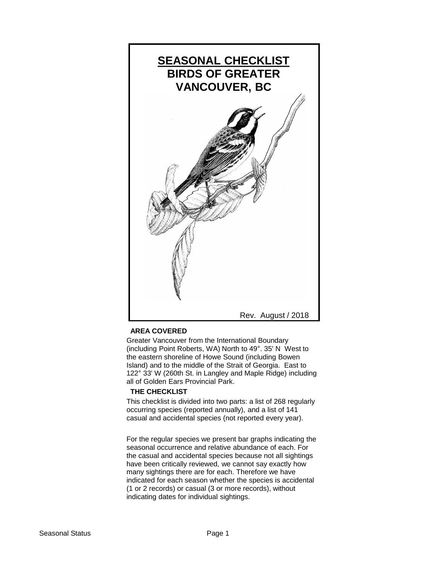

## **AREA COVERED**

Greater Vancouver from the International Boundary (including Point Roberts, WA) North to 49°. 35' N West to the eastern shoreline of Howe Sound (including Bowen Island) and to the middle of the Strait of Georgia. East to 122° 33' W (260th St. in Langley and Maple Ridge) including all of Golden Ears Provincial Park.

## **THE CHECKLIST**

This checklist is divided into two parts: a list of 268 regularly occurring species (reported annually), and a list of 141 casual and accidental species (not reported every year).

For the regular species we present bar graphs indicating the seasonal occurrence and relative abundance of each. For the casual and accidental species because not all sightings have been critically reviewed, we cannot say exactly how many sightings there are for each. Therefore we have indicated for each season whether the species is accidental (1 or 2 records) or casual (3 or more records), without indicating dates for individual sightings.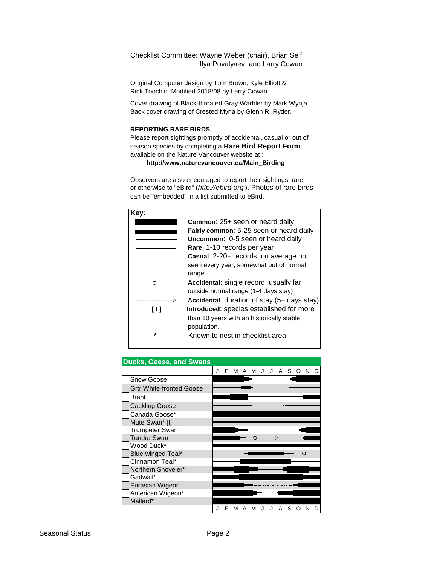Checklist Committee: Wayne Weber (chair), Brian Self, Ilya Povalyaev, and Larry Cowan.

Original Computer design by Tom Brown, Kyle Elliott & Rick Toochin. Modified 2018/08 by Larry Cowan.

Cover drawing of Black-throated Gray Warbler by Mark Wynja. Back cover drawing of Crested Myna by Glenn R. Ryder.

#### **REPORTING RARE BIRDS**

Please report sightings promptly of accidental, casual or out of season species by completing a **Rare Bird Report Form** available on the Nature Vancouver website at :

 **http://www.naturevancouver.ca/Main\_Birding**

Observers are also encouraged to report their sightings, rare, or otherwise to "eBird" (*http://ebird.org* ). Photos of rare birds can be "embedded" in a list submitted to eBird.

| Kev:    |                                             |
|---------|---------------------------------------------|
|         | <b>Common:</b> 25+ seen or heard daily      |
|         | Fairly common: 5-25 seen or heard daily     |
|         | Uncommon: 0-5 seen or heard daily           |
|         | Rare: 1-10 records per year                 |
|         | Casual: 2-20+ records; on average not       |
|         | seen every year; somewhat out of normal     |
|         | range.                                      |
| ⌒       | Accidental: single record; usually far      |
|         | outside normal range (1-4 days stay)        |
|         | Accidental: duration of stay (5+ days stay) |
| [ ] ]   | Introduced: species established for more    |
|         | than 10 years with an historically stable   |
|         | population.                                 |
| $\star$ | Known to nest in checklist area             |
|         |                                             |

| <b>Ducks, Geese, and Swans</b>  |   |   |   |   |  |   |   |  |  |
|---------------------------------|---|---|---|---|--|---|---|--|--|
|                                 | F | м | A | м |  | Α | S |  |  |
| Snow Goose                      |   |   |   |   |  |   |   |  |  |
| <b>Grtr White-fronted Goose</b> |   |   |   |   |  |   |   |  |  |
| <b>Brant</b>                    |   |   |   |   |  |   |   |  |  |
| <b>Cackling Goose</b>           |   |   |   |   |  |   |   |  |  |
| Canada Goose*                   |   |   |   |   |  |   |   |  |  |
| Mute Swan* [I]                  |   |   |   |   |  |   |   |  |  |
| <b>Trumpeter Swan</b>           |   |   |   |   |  |   |   |  |  |
| <b>Tundra Swan</b>              |   |   |   | O |  |   |   |  |  |
| Wood Duck*                      |   |   |   |   |  |   |   |  |  |
| Blue-winged Teal*               |   |   |   |   |  |   |   |  |  |
| Cinnamon Teal*                  |   |   |   |   |  |   |   |  |  |
| Northern Shoveler*              |   |   |   |   |  |   |   |  |  |
| Gadwall*                        |   |   |   |   |  |   |   |  |  |
| Eurasian Wigeon                 |   |   |   |   |  |   |   |  |  |
| American Wigeon*                |   |   |   |   |  |   |   |  |  |
| Mallard*                        |   |   |   |   |  |   |   |  |  |
|                                 |   |   |   |   |  |   |   |  |  |

#### **Ducks, Geese, and Swans**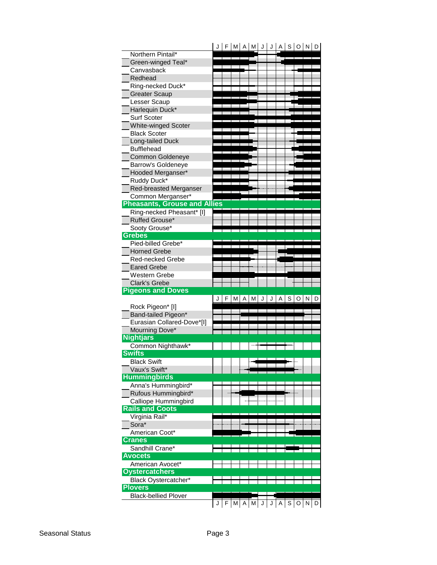|                                     |                     |   |   | F M A M J |   | J |   |   | A   S   O   N   D |   |   |
|-------------------------------------|---------------------|---|---|-----------|---|---|---|---|-------------------|---|---|
| Northern Pintail*                   |                     |   |   |           |   |   |   |   |                   |   |   |
| Green-winged Teal*                  |                     |   |   |           |   |   |   |   |                   |   |   |
| Canvasback                          |                     |   |   |           |   |   |   |   |                   |   |   |
| Redhead                             |                     |   |   |           |   |   |   |   |                   |   |   |
| Ring-necked Duck*                   |                     |   |   |           |   |   |   |   |                   |   |   |
| <b>Greater Scaup</b>                |                     |   |   |           |   |   |   |   |                   |   |   |
| Lesser Scaup                        |                     |   |   |           |   |   |   |   |                   |   |   |
| Harlequin Duck*                     |                     |   |   |           |   |   |   |   |                   |   |   |
| Surf Scoter                         |                     |   |   |           |   |   |   |   |                   |   |   |
| White-winged Scoter                 |                     |   |   |           |   |   |   |   |                   |   |   |
| <b>Black Scoter</b>                 |                     |   |   |           |   |   |   |   |                   |   |   |
| Long-tailed Duck                    |                     |   |   |           |   |   |   |   |                   |   |   |
| <b>Bufflehead</b>                   |                     |   |   |           |   |   |   |   |                   |   |   |
| <b>Common Goldeneye</b>             |                     |   |   |           |   |   |   |   |                   |   |   |
| <b>Barrow's Goldeneye</b>           |                     |   |   |           |   |   |   |   |                   |   |   |
| Hooded Merganser*                   |                     |   |   |           |   |   |   |   |                   |   |   |
| Ruddy Duck*                         |                     |   |   |           |   |   |   |   |                   |   |   |
| Red-breasted Merganser              |                     |   |   |           |   |   |   |   |                   |   |   |
| Common Merganser*                   |                     |   |   |           |   |   |   |   |                   |   |   |
| <b>Pheasants, Grouse and Allies</b> |                     |   |   |           |   |   |   |   |                   |   |   |
| Ring-necked Pheasant* [I]           |                     |   |   |           |   |   |   |   |                   |   |   |
| Ruffed Grouse*                      |                     |   |   |           |   |   |   |   |                   |   |   |
| Sooty Grouse*                       |                     |   |   |           |   |   |   |   |                   |   |   |
| <b>Grebes</b>                       |                     |   |   |           |   |   |   |   |                   |   |   |
| Pied-billed Grebe*                  |                     |   |   |           |   |   |   |   |                   |   |   |
| <b>Horned Grebe</b>                 |                     |   |   |           |   |   |   |   |                   |   |   |
| Red-necked Grebe                    |                     |   |   |           |   |   |   |   |                   |   |   |
| <b>Eared Grebe</b>                  |                     |   |   |           |   |   |   |   |                   |   |   |
| Western Grebe                       |                     |   |   |           |   |   |   |   |                   |   |   |
|                                     |                     |   |   |           |   |   |   |   |                   |   |   |
| <b>Clark's Grebe</b>                |                     |   |   |           |   |   |   |   |                   |   |   |
| <b>Pigeons and Doves</b>            |                     |   |   |           |   |   |   |   |                   |   |   |
|                                     |                     | M | А | м         | J |   | Α | S | O                 | N | D |
| Rock Pigeon* [I]                    |                     |   |   |           |   |   |   |   |                   |   |   |
| Band-tailed Pigeon*                 |                     |   |   |           |   |   |   |   |                   |   |   |
| Eurasian Collared-Dove*[I]          |                     |   |   |           |   |   |   |   |                   |   |   |
| Mourning Dove*                      |                     |   |   |           |   |   |   |   |                   |   |   |
| <b>Nightjars</b>                    |                     |   |   |           |   |   |   |   |                   |   |   |
| Common Nighthawk*                   |                     |   |   |           |   |   |   |   |                   |   |   |
| <b>Swifts</b>                       |                     |   |   |           |   |   |   |   |                   |   |   |
| <b>Black Swift</b>                  |                     |   |   |           |   |   |   |   |                   |   |   |
| Vaux's Swift*                       |                     |   |   |           |   |   |   |   |                   |   |   |
| <b>Hummingbirds</b>                 |                     |   |   |           |   |   |   |   |                   |   |   |
| Anna's Hummingbird*                 |                     |   |   |           |   |   |   |   |                   |   |   |
| Rufous Hummingbird*                 |                     |   |   |           |   |   |   |   |                   |   |   |
| Calliope Hummingbird                |                     |   |   |           |   |   |   |   |                   |   |   |
| <b>Rails and Coots</b>              |                     |   |   |           |   |   |   |   |                   |   |   |
| Virginia Rail*                      |                     |   |   |           |   |   |   |   |                   |   |   |
| Sora*                               |                     |   |   |           |   |   |   |   |                   |   |   |
| American Coot*                      |                     |   |   |           |   |   |   |   |                   |   |   |
| <b>Cranes</b>                       |                     |   |   |           |   |   |   |   |                   |   |   |
| Sandhill Crane*                     |                     |   |   |           |   |   |   |   |                   |   |   |
| <b>Avocets</b>                      |                     |   |   |           |   |   |   |   |                   |   |   |
| American Avocet*                    |                     |   |   |           |   |   |   |   |                   |   |   |
| <b>Oystercatchers</b>               |                     |   |   |           |   |   |   |   |                   |   |   |
| Black Oystercatcher*                |                     |   |   |           |   |   |   |   |                   |   |   |
| <b>Plovers</b>                      |                     |   |   |           |   |   |   |   |                   |   |   |
| <b>Black-bellied Plover</b>         | $J$ $F$ $M$ $A$ $M$ |   |   |           |   |   | Α |   | $S$ O $N$ D       |   |   |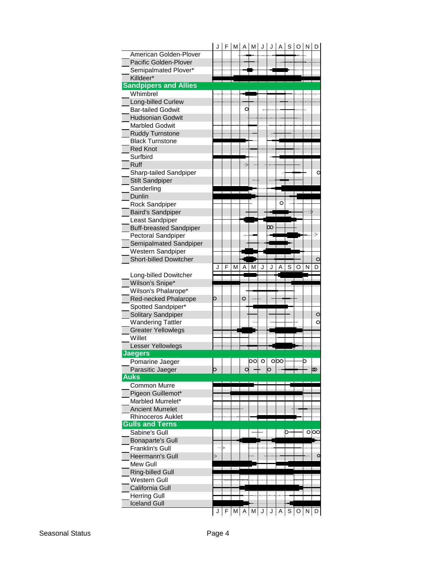|                                | J | F   | M |              | $A \mid M$      | J | J | A |   | s o     | N | D       |
|--------------------------------|---|-----|---|--------------|-----------------|---|---|---|---|---------|---|---------|
| American Golden-Plover         |   |     |   |              |                 |   |   |   |   |         |   |         |
| <b>Pacific Golden-Plover</b>   |   |     |   |              |                 |   |   |   |   |         |   |         |
| Semipalmated Plover*           |   |     |   |              |                 |   |   |   |   |         |   |         |
| Killdeer*                      |   |     |   |              |                 |   |   |   |   |         |   |         |
| <b>Sandpipers and Allies</b>   |   |     |   |              |                 |   |   |   |   |         |   |         |
| Whimbrel                       |   |     |   |              |                 |   |   |   |   |         |   |         |
| Long-billed Curlew             |   |     |   |              |                 |   |   |   |   |         |   |         |
| <b>Bar-tailed Godwit</b>       |   |     |   | C            |                 |   |   |   |   |         |   |         |
| <b>Hudsonian Godwit</b>        |   |     |   |              |                 |   |   |   |   |         |   |         |
| <b>Marbled Godwit</b>          |   |     |   |              |                 |   |   |   |   |         |   |         |
| <b>Ruddy Turnstone</b>         |   |     |   |              |                 |   |   |   |   |         |   |         |
| <b>Black Turnstone</b>         |   |     |   |              |                 |   |   |   |   |         |   |         |
| <b>Red Knot</b>                |   |     |   |              |                 |   |   |   |   |         |   |         |
| Surfbird                       |   |     |   |              |                 |   |   |   |   |         |   |         |
| <b>Ruff</b>                    |   |     |   | ⊰            |                 |   |   |   |   |         |   |         |
| Sharp-tailed Sandpiper         |   |     |   |              |                 |   |   |   |   |         |   |         |
| <b>Stilt Sandpiper</b>         |   |     |   |              |                 |   |   |   |   |         |   |         |
| Sanderling                     |   |     |   |              |                 |   |   |   |   |         |   |         |
| Dunlin                         |   |     |   |              |                 |   |   |   |   |         |   |         |
| Rock Sandpiper                 |   |     |   |              |                 |   |   | O |   |         |   |         |
| <b>Baird's Sandpiper</b>       |   |     |   |              |                 |   |   |   |   |         |   |         |
| Least Sandpiper                |   |     |   |              |                 |   |   |   |   |         |   |         |
| <b>Buff-breasted Sandpiper</b> |   |     |   |              |                 |   | သ |   |   |         |   |         |
| Pectoral Sandpiper             |   |     |   |              |                 |   |   |   |   |         |   | →       |
| Semipalmated Sandpiper         |   |     |   |              |                 |   |   |   |   |         |   |         |
| Western Sandpiper              |   |     |   |              |                 |   |   |   |   |         |   |         |
| <b>Short-billed Dowitcher</b>  |   |     |   |              |                 |   |   |   |   |         |   | O       |
|                                | J | F   | M | Α            | м               | J | J | A | S | O       | N | D       |
| Long-billed Dowitcher          |   |     |   |              |                 |   |   |   |   |         |   |         |
|                                |   |     |   |              |                 |   |   |   |   |         |   |         |
|                                |   |     |   |              |                 |   |   |   |   |         |   |         |
| Wilson's Snipe*                |   |     |   |              |                 |   |   |   |   |         |   |         |
| Wilson's Phalarope*            |   |     |   |              |                 |   |   |   |   |         |   |         |
| Red-necked Phalarope           | ⊃ |     |   | O            |                 |   |   |   |   |         |   |         |
| Spotted Sandpiper*             |   |     |   |              |                 |   |   |   |   |         |   |         |
| Solitary Sandpiper             |   |     |   |              |                 |   |   |   |   |         |   | $\circ$ |
| <b>Wandering Tattler</b>       |   |     |   |              |                 |   |   |   |   |         |   | $\circ$ |
| <b>Greater Yellowlegs</b>      |   |     |   |              |                 |   |   |   |   |         |   |         |
| Willet                         |   |     |   |              |                 |   |   |   |   |         |   |         |
| Lesser Yellowlegs              |   |     |   |              |                 |   |   |   |   |         |   |         |
| Jaegers                        |   |     |   |              |                 |   |   |   |   |         |   |         |
| Pomarine Jaeger                |   |     |   |              | bol o l obol——b |   |   |   |   |         |   |         |
| Parasitic Jaeger               | ⊃ |     |   |              |                 |   | O |   |   |         |   | ൕ       |
| <b>Auks</b>                    |   |     |   |              |                 |   |   |   |   |         |   |         |
| Common Murre                   |   |     |   |              |                 |   |   |   |   |         |   |         |
| Pigeon Guillemot*              |   |     |   |              |                 |   |   |   |   |         |   |         |
| Marbled Murrelet*              |   |     |   |              |                 |   |   |   |   |         |   |         |
| <b>Ancient Murrelet</b>        |   |     |   |              |                 |   |   |   |   |         |   |         |
| <b>Rhinoceros Auklet</b>       |   |     |   |              |                 |   |   |   |   |         |   |         |
| <b>Gulls and Terns</b>         |   |     |   |              |                 |   |   |   |   |         |   |         |
| Sabine's Gull                  |   |     |   |              |                 |   |   |   | 0 |         |   | ○∣○○    |
| <b>Bonaparte's Gull</b>        |   |     |   |              |                 |   |   |   |   |         |   |         |
| Franklin's Gull                |   |     |   |              |                 |   |   |   |   |         |   |         |
| Heermann's Gull                | ⇒ |     |   |              |                 |   |   |   |   |         |   | c       |
| Mew Gull                       |   | — I |   |              |                 |   |   |   |   |         |   |         |
| <b>Ring-billed Gull</b>        |   |     |   |              |                 |   |   |   |   |         |   |         |
| Western Gull                   |   |     |   |              |                 |   |   |   |   |         |   |         |
| California Gull                |   |     |   |              |                 |   |   |   |   |         |   |         |
| <b>Herring Gull</b>            |   |     |   |              |                 |   |   |   |   |         |   |         |
| <b>Iceland Gull</b>            | J | F   | M | $\mathsf{A}$ | M               | J | J | Α | S | $\circ$ | N | D       |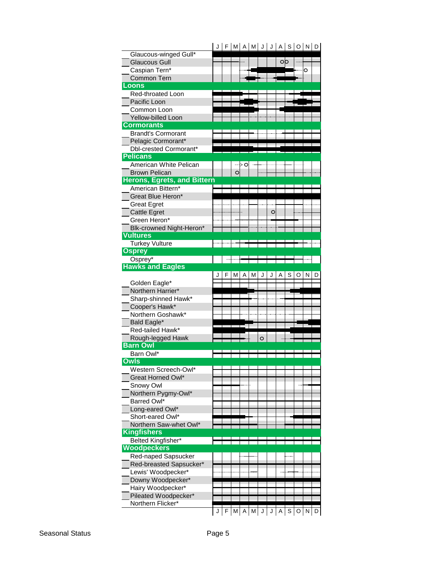|                                           | JI |   |   |    | F M A M    | IJ      | J       |              | $A \mid S$ | $\circ$ | $N$ D |   |
|-------------------------------------------|----|---|---|----|------------|---------|---------|--------------|------------|---------|-------|---|
| Glaucous-winged Gull*                     |    |   |   |    |            |         |         |              |            |         |       |   |
| <b>Glaucous Gull</b>                      |    |   |   |    |            |         |         | Оb           |            |         |       |   |
| Caspian Tern*                             |    |   |   |    |            |         |         |              |            |         | O     |   |
| <b>Common Tern</b>                        |    |   |   |    |            |         |         |              |            |         |       |   |
| Loons                                     |    |   |   |    |            |         |         |              |            |         |       |   |
| Red-throated Loon                         |    |   |   |    |            |         |         |              |            |         |       |   |
| Pacific Loon                              |    |   |   |    |            |         |         |              |            |         |       |   |
| Common Loon                               |    |   |   |    |            |         |         |              |            |         |       |   |
| <b>Yellow-billed Loon</b>                 |    |   |   |    |            |         |         |              |            |         |       |   |
| <b>Cormorants</b>                         |    |   |   |    |            |         |         |              |            |         |       |   |
|                                           |    |   |   |    |            |         |         |              |            |         |       |   |
| <b>Brandt's Cormorant</b>                 |    |   |   |    |            |         |         |              |            |         |       |   |
| Pelagic Cormorant*                        |    |   |   |    |            |         |         |              |            |         |       |   |
| Dbl-crested Cormorant*<br><b>Pelicans</b> |    |   |   |    |            |         |         |              |            |         |       |   |
|                                           |    |   |   |    |            |         |         |              |            |         |       |   |
| American White Pelican                    |    |   |   | >С |            |         |         |              |            |         |       |   |
| <b>Brown Pelican</b>                      |    |   | O |    |            |         |         |              |            |         |       |   |
| <b>Herons, Egrets, and Bittern</b>        |    |   |   |    |            |         |         |              |            |         |       |   |
| American Bittern*                         |    |   |   |    |            |         |         |              |            |         |       |   |
| Great Blue Heron*                         |    |   |   |    |            |         |         |              |            |         |       |   |
| <b>Great Egret</b>                        |    |   |   |    |            |         |         |              |            |         |       |   |
| <b>Cattle Egret</b>                       |    |   |   |    |            |         | $\circ$ |              |            |         |       |   |
| Green Heron*                              |    |   |   |    |            |         |         |              |            |         |       |   |
| Blk-crowned Night-Heron*                  |    |   |   |    |            |         |         |              |            |         |       |   |
| <b>Vultures</b>                           |    |   |   |    |            |         |         |              |            |         |       |   |
| <b>Turkey Vulture</b>                     |    |   |   |    |            |         |         |              |            |         |       |   |
| <b>Osprey</b>                             |    |   |   |    |            |         |         |              |            |         |       |   |
| Osprey*                                   |    |   |   |    |            |         |         |              |            |         |       |   |
| <b>Hawks and Eagles</b>                   |    |   |   |    |            |         |         |              |            |         |       |   |
|                                           |    | F | М | А  | М          | J       | J       | Α            | S          | O       | N     | D |
|                                           |    |   |   |    |            |         |         |              |            |         |       |   |
|                                           |    |   |   |    |            |         |         |              |            |         |       |   |
| Golden Eagle*                             |    |   |   |    |            |         |         |              |            |         |       |   |
| Northern Harrier*                         |    |   |   |    |            |         |         |              |            |         |       |   |
| Sharp-shinned Hawk*                       |    |   |   |    |            |         |         |              |            |         |       |   |
| Cooper's Hawk*                            |    |   |   |    |            |         |         |              |            |         |       |   |
| Northern Goshawk*                         |    |   |   |    |            |         |         |              |            |         |       |   |
| Bald Eagle*                               |    |   |   |    |            |         |         |              |            |         |       |   |
| Red-tailed Hawk*                          |    |   |   |    |            |         |         |              |            |         |       |   |
| Rough-legged Hawk                         |    |   |   |    |            | $\circ$ |         |              |            |         |       |   |
| <b>Barn Owl</b>                           |    |   |   |    |            |         |         |              |            |         |       |   |
| Barn Owl*                                 |    |   |   |    |            |         |         |              |            |         |       |   |
| <b>Owls</b>                               |    |   |   |    |            |         |         |              |            |         |       |   |
| Western Screech-Owl*                      |    |   |   |    |            |         |         |              |            |         |       |   |
| <b>Great Horned Owl*</b>                  |    |   |   |    |            |         |         |              |            |         |       |   |
| Snowy Owl                                 |    |   |   |    |            |         |         |              |            |         |       |   |
| Northern Pygmy-Owl*                       |    |   |   |    |            |         |         |              |            |         |       |   |
| Barred Owl*                               |    |   |   |    |            |         |         |              |            |         |       |   |
| Long-eared Owl*                           |    |   |   |    |            |         |         |              |            |         |       |   |
| Short-eared Owl*                          |    |   |   |    |            |         |         |              |            |         |       |   |
| Northern Saw-whet Owl*                    |    |   |   |    |            |         |         |              |            |         |       |   |
| <b>Kingfishers</b>                        |    |   |   |    |            |         |         |              |            |         |       |   |
| Belted Kingfisher*                        |    |   |   |    |            |         |         |              |            |         |       |   |
| <b>Woodpeckers</b>                        |    |   |   |    |            |         |         |              |            |         |       |   |
| Red-naped Sapsucker                       |    |   |   |    |            |         |         |              |            |         |       |   |
|                                           |    |   |   |    |            |         |         |              |            |         |       |   |
| Red-breasted Sapsucker*                   |    |   |   |    |            |         |         |              |            |         |       |   |
| Lewis' Woodpecker*                        |    |   |   |    |            |         |         |              |            |         |       |   |
| Downy Woodpecker*                         |    |   |   |    |            |         |         |              |            |         |       |   |
| Hairy Woodpecker*                         |    |   |   |    |            |         |         |              |            |         |       |   |
| Pileated Woodpecker*                      |    |   |   |    |            |         |         |              |            |         |       |   |
| Northern Flicker*                         | J  | F | M |    | $A \mid M$ | J       | J       | $\mathsf{A}$ | S          | $\circ$ | N D   |   |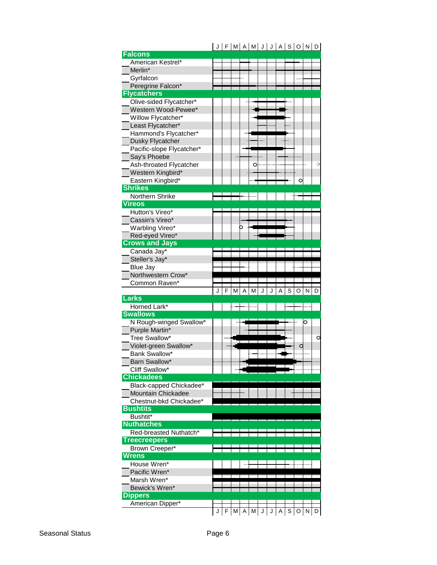|                                           | F | M |   | $A$   M | J |   |   | J   A   S   O |     | $N$ $D$    |   |
|-------------------------------------------|---|---|---|---------|---|---|---|---------------|-----|------------|---|
| <b>Falcons</b>                            |   |   |   |         |   |   |   |               |     |            |   |
| American Kestrel*                         |   |   |   |         |   |   |   |               |     |            |   |
| Merlin*                                   |   |   |   |         |   |   |   |               |     |            |   |
| Gyrfalcon                                 |   |   |   |         |   |   |   |               |     |            |   |
| Peregrine Falcon*                         |   |   |   |         |   |   |   |               |     |            |   |
| <b>Flycatchers</b>                        |   |   |   |         |   |   |   |               |     |            |   |
| Olive-sided Flycatcher*                   |   |   |   |         |   |   |   |               |     |            |   |
| Western Wood-Pewee*                       |   |   |   |         |   |   |   |               |     |            |   |
| Willow Flycatcher*                        |   |   |   |         |   |   |   |               |     |            |   |
| Least Flycatcher*                         |   |   |   |         |   |   |   |               |     |            |   |
| Hammond's Flycatcher*                     |   |   |   |         |   |   |   |               |     |            |   |
| Dusky Flycatcher                          |   |   |   |         |   |   |   |               |     |            |   |
| Pacific-slope Flycatcher*                 |   |   |   |         |   |   |   |               |     |            |   |
| Say's Phoebe                              |   |   |   |         |   |   |   |               |     |            |   |
| Ash-throated Flycatcher                   |   |   |   | O       |   |   |   |               |     |            |   |
| Western Kingbird*                         |   |   |   |         |   |   |   |               |     |            |   |
| Eastern Kingbird*                         |   |   |   |         |   |   |   |               |     |            |   |
| <b>Shrikes</b>                            |   |   |   |         |   |   |   |               |     |            |   |
|                                           |   |   |   |         |   |   |   |               |     |            |   |
| Northern Shrike                           |   |   |   |         |   |   |   |               |     |            |   |
| <b>Vireos</b>                             |   |   |   |         |   |   |   |               |     |            |   |
| Hutton's Vireo*                           |   |   |   |         |   |   |   |               |     |            |   |
| Cassin's Vireo*                           |   |   |   |         |   |   |   |               |     |            |   |
| Warbling Vireo*                           |   |   |   |         |   |   |   |               |     |            |   |
| Red-eyed Vireo*                           |   |   |   |         |   |   |   |               |     |            |   |
| <b>Crows and Jays</b>                     |   |   |   |         |   |   |   |               |     |            |   |
| Canada Jay*                               |   |   |   |         |   |   |   |               |     |            |   |
| Steller's Jay*                            |   |   |   |         |   |   |   |               |     |            |   |
| <b>Blue Jay</b>                           |   |   |   |         |   |   |   |               |     |            |   |
| Northwestern Crow*                        |   |   |   |         |   |   |   |               |     |            |   |
| Common Raven*                             |   |   |   |         |   |   |   |               |     |            |   |
|                                           |   |   |   |         |   |   |   |               |     |            |   |
|                                           |   | М | A | м       | J | J | A | S             | O   | N          | D |
| <b>Larks</b>                              |   |   |   |         |   |   |   |               |     |            |   |
| Horned Lark*                              |   |   |   |         |   |   |   |               |     |            |   |
| <b>Swallows</b>                           |   |   |   |         |   |   |   |               |     |            |   |
|                                           |   |   |   |         |   |   |   |               |     | O          |   |
| N Rough-winged Swallow*<br>Purple Martin* |   |   |   |         |   |   |   |               |     |            |   |
|                                           |   |   |   |         |   |   |   |               |     |            | O |
| Tree Swallow*                             |   |   |   |         |   |   |   |               | C   |            |   |
| Violet-green Swallow*                     |   |   |   |         |   |   |   |               |     |            |   |
| Bank Swallow*                             |   |   |   |         |   |   |   |               |     |            |   |
| Barn Swallow*                             |   |   |   |         |   |   |   |               |     |            |   |
| Cliff Swallow*                            |   |   |   |         |   |   |   |               |     |            |   |
| <b>Chickadees</b>                         |   |   |   |         |   |   |   |               |     |            |   |
| Black-capped Chickadee*                   |   |   |   |         |   |   |   |               |     |            |   |
| <b>Mountain Chickadee</b>                 |   |   |   |         |   |   |   |               |     |            |   |
| Chestnut-bkd Chickadee*                   |   |   |   |         |   |   |   |               |     |            |   |
| <b>Bushtits</b>                           |   |   |   |         |   |   |   |               |     |            |   |
| Bushtit*                                  |   |   |   |         |   |   |   |               |     |            |   |
| <b>Nuthatches</b>                         |   |   |   |         |   |   |   |               |     |            |   |
| Red-breasted Nuthatch*                    |   |   |   |         |   |   |   |               |     |            |   |
| <b>Treecreepers</b>                       |   |   |   |         |   |   |   |               |     |            |   |
| Brown Creeper*                            |   |   |   |         |   |   |   |               |     |            |   |
| Wrens                                     |   |   |   |         |   |   |   |               |     |            |   |
| House Wren*                               |   |   |   |         |   |   |   |               |     |            |   |
| Pacific Wren*                             |   |   |   |         |   |   |   |               |     |            |   |
| Marsh Wren*                               |   |   |   |         |   |   |   |               |     |            |   |
| Bewick's Wren*                            |   |   |   |         |   |   |   |               |     |            |   |
| <b>Dippers</b>                            |   |   |   |         |   |   |   |               |     |            |   |
| American Dipper*                          |   |   |   |         |   |   |   |               |     |            |   |
|                                           |   | M | A | M       | J | J | Α |               | S O | $N \mid D$ |   |

# $J \cup J = [M \cup J \cup J]$   $J \cup J \cup J$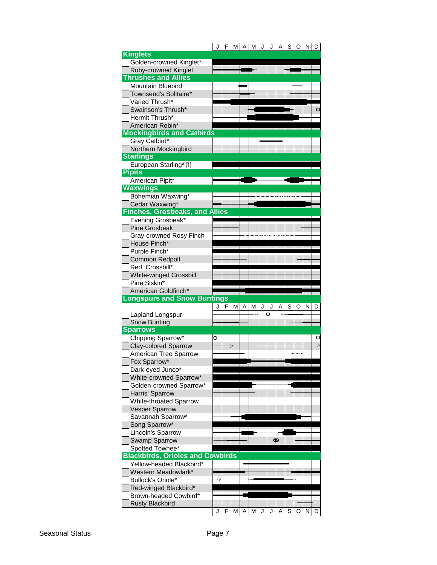|                                                 |   | F |   |   |   |   |   | M A M J J A S O N D |   |   |   |         |
|-------------------------------------------------|---|---|---|---|---|---|---|---------------------|---|---|---|---------|
| <b>Kinglets</b>                                 |   |   |   |   |   |   |   |                     |   |   |   |         |
| Golden-crowned Kinglet*                         |   |   |   |   |   |   |   |                     |   |   |   |         |
| Ruby-crowned Kinglet                            |   |   |   |   |   |   |   |                     |   |   |   |         |
| <b>Thrushes and Allies</b>                      |   |   |   |   |   |   |   |                     |   |   |   |         |
| <b>Mountain Bluebird</b>                        |   |   |   |   |   |   |   |                     |   |   |   |         |
| Townsend's Solitaire*                           |   |   |   |   |   |   |   |                     |   |   |   |         |
| Varied Thrush*                                  |   |   |   |   |   |   |   |                     |   |   |   |         |
| Swainson's Thrush*                              |   |   |   |   |   |   |   |                     |   |   |   | $\circ$ |
| Hermit Thrush*                                  |   |   |   |   |   |   |   |                     |   |   |   |         |
| American Robin*                                 |   |   |   |   |   |   |   |                     |   |   |   |         |
| <b>Mockingbirds and Catbirds</b>                |   |   |   |   |   |   |   |                     |   |   |   |         |
| Gray Catbird*                                   |   |   |   |   |   |   |   |                     |   |   |   |         |
| Northern Mockingbird                            |   |   |   |   |   |   |   |                     |   |   |   |         |
| <b>Starlings</b>                                |   |   |   |   |   |   |   |                     |   |   |   |         |
| European Starling* [I]                          |   |   |   |   |   |   |   |                     |   |   |   |         |
| <b>Pipits</b>                                   |   |   |   |   |   |   |   |                     |   |   |   |         |
| American Pipit*                                 |   |   |   |   |   |   |   |                     |   |   |   |         |
| <b>Waxwings</b>                                 |   |   |   |   |   |   |   |                     |   |   |   |         |
| Bohemian Waxwing*                               |   |   |   |   |   |   |   |                     |   |   |   |         |
| Cedar Waxwing*                                  |   |   |   |   |   |   |   |                     |   |   |   |         |
| <b>Finches, Grosbeaks, and Allies</b>           |   |   |   |   |   |   |   |                     |   |   |   |         |
| Evening Grosbeak*                               |   |   |   |   |   |   |   |                     |   |   |   |         |
| <b>Pine Grosbeak</b>                            |   |   |   |   |   |   |   |                     |   |   |   |         |
| Gray-crowned Rosy Finch                         |   |   |   |   |   |   |   |                     |   |   |   |         |
| House Finch*                                    |   |   |   |   |   |   |   |                     |   |   |   |         |
| Purple Finch*                                   |   |   |   |   |   |   |   |                     |   |   |   |         |
| <b>Common Redpoll</b>                           |   |   |   |   |   |   |   |                     |   |   |   |         |
| Red Crossbill*                                  |   |   |   |   |   |   |   |                     |   |   |   |         |
|                                                 |   |   |   |   |   |   |   |                     |   |   |   |         |
| White-winged Crossbill                          |   |   |   |   |   |   |   |                     |   |   |   |         |
| Pine Siskin*                                    |   |   |   |   |   |   |   |                     |   |   |   |         |
| American Goldfinch*                             |   |   |   |   |   |   |   |                     |   |   |   |         |
| <b>Longspurs and Snow Buntings</b>              |   |   |   |   |   |   |   |                     |   |   |   |         |
|                                                 |   | F | М | Α | М | J | J | Α                   | S | O | N | D       |
| Lapland Longspur                                |   |   |   |   |   |   | ר |                     |   |   |   |         |
| <b>Snow Bunting</b>                             |   |   |   |   |   |   |   |                     |   |   |   |         |
| <b>Sparrows</b>                                 |   |   |   |   |   |   |   |                     |   |   |   |         |
| Chipping Sparrow*                               | 0 |   |   |   |   |   |   |                     |   |   |   | O       |
| <b>Clay-colored Sparrow</b>                     |   |   |   |   |   |   |   |                     |   |   |   | $\geq$  |
| American Tree Sparrow                           |   |   |   |   |   |   |   |                     |   |   |   |         |
| Fox Sparrow*                                    |   |   |   |   |   |   |   |                     |   |   |   |         |
| Dark-eyed Junco*                                |   |   |   |   |   |   |   |                     |   |   |   |         |
| White-crowned Sparrow*                          |   |   |   |   |   |   |   |                     |   |   |   |         |
| Golden-crowned Sparrow*                         |   |   |   |   |   |   |   |                     |   |   |   |         |
| Harris' Sparrow                                 |   |   |   |   |   |   |   |                     |   |   |   |         |
| White-throated Sparrow                          |   |   |   |   |   |   |   |                     |   |   |   |         |
| <b>Vesper Sparrow</b>                           |   |   |   |   |   |   |   |                     |   |   |   |         |
| Savannah Sparrow*                               |   |   |   |   |   |   |   |                     |   |   |   |         |
| Song Sparrow*                                   |   |   |   |   |   |   |   |                     |   |   |   |         |
| Lincoln's Sparrow                               |   |   |   |   |   |   |   |                     |   |   |   |         |
| Swamp Sparrow                                   |   |   |   |   |   |   |   | φ                   |   |   |   |         |
| Spotted Towhee*                                 |   |   |   |   |   |   |   |                     |   |   |   |         |
| <b>Blackbirds, Orioles and Cowbirds</b>         |   |   |   |   |   |   |   |                     |   |   |   |         |
| Yellow-headed Blackbird*                        |   |   |   |   |   |   |   |                     |   |   |   |         |
| Western Meadowlark*                             |   |   |   |   |   |   |   |                     |   |   |   |         |
| Bullock's Oriole*                               | → |   |   |   |   |   |   |                     |   |   |   |         |
| Red-winged Blackbird*                           |   |   |   |   |   |   |   |                     |   |   |   |         |
| Brown-headed Cowbird*<br><b>Rusty Blackbird</b> |   |   |   |   |   |   |   |                     |   |   |   |         |

# Seasonal Status **Page 7**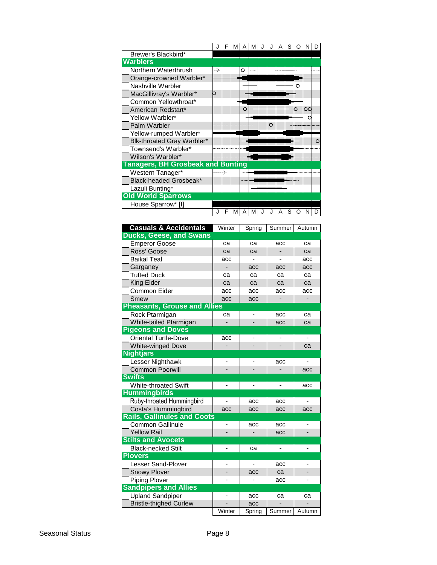|                                          |   |  |          |  |   |  |   | J F M A M J J A S O N D |   |
|------------------------------------------|---|--|----------|--|---|--|---|-------------------------|---|
| Brewer's Blackbird*                      |   |  |          |  |   |  |   |                         |   |
| <b>Warblers</b>                          |   |  |          |  |   |  |   |                         |   |
| Northern Waterthrush                     | ⇢ |  |          |  |   |  |   |                         |   |
| Orange-crowned Warbler*                  |   |  |          |  |   |  |   |                         |   |
| Nashville Warbler                        |   |  |          |  |   |  | O |                         |   |
| MacGillivray's Warbler*                  |   |  |          |  |   |  |   |                         |   |
| Common Yellowthroat*                     |   |  |          |  |   |  |   |                         |   |
| American Redstart*                       |   |  | $\Omega$ |  |   |  |   | $\alpha$                |   |
| Yellow Warbler*                          |   |  |          |  |   |  |   |                         |   |
| Palm Warbler                             |   |  |          |  | O |  |   |                         |   |
| Yellow-rumped Warbler*                   |   |  |          |  |   |  |   |                         |   |
| Blk-throated Gray Warbler*               |   |  |          |  |   |  |   |                         | Ω |
| Townsend's Warbler*                      |   |  |          |  |   |  |   |                         |   |
| Wilson's Warbler*                        |   |  |          |  |   |  |   |                         |   |
| <b>Tanagers, BH Grosbeak and Bunting</b> |   |  |          |  |   |  |   |                         |   |
| Western Tanager*                         |   |  |          |  |   |  |   |                         |   |
| Black-headed Grosbeak*                   |   |  |          |  |   |  |   |                         |   |
| Lazuli Bunting*                          |   |  |          |  |   |  |   |                         |   |
| <b>Old World Sparrows</b>                |   |  |          |  |   |  |   |                         |   |
| House Sparrow* [I]                       |   |  |          |  |   |  |   |                         |   |
|                                          |   |  |          |  |   |  |   |                         |   |

| <b>Casuals &amp; Accidentals</b>    | Winter | Spring | Summer | Autumn |
|-------------------------------------|--------|--------|--------|--------|
| <b>Ducks, Geese, and Swans</b>      |        |        |        |        |
| <b>Emperor Goose</b>                | ca     | ca     | acc    | ca     |
| Ross' Goose                         | ca     | ca     | -      | ca     |
| <b>Baikal Teal</b>                  | acc    |        |        | acc    |
| Garganey                            |        | acc    | acc    | acc    |
| <b>Tufted Duck</b>                  | ca     | ca     | ca     | ca     |
| King Eider                          | ca     | ca     | ca     | ca     |
| Common Eider                        | acc    | acc    | acc    | acc    |
| Smew                                | acc    | acc    |        |        |
| <b>Pheasants, Grouse and Allies</b> |        |        |        |        |
| Rock Ptarmigan                      | ca     | ۷      | acc    | ca     |
| White-tailed Ptarmigan              |        |        | acc    | ca     |
| <b>Pigeons and Doves</b>            |        |        |        |        |
| <b>Oriental Turtle-Dove</b>         | acc    |        | -      |        |
| <b>White-winged Dove</b>            |        |        |        | ca     |
| <b>Nightjars</b>                    |        |        |        |        |
| Lesser Nighthawk                    |        |        | acc    |        |
| <b>Common Poorwill</b>              |        |        |        | acc    |
| <b>Swifts</b>                       |        |        |        |        |
| <b>White-throated Swift</b>         |        |        |        | acc    |
| <b>Hummingbirds</b>                 |        |        |        |        |
| Ruby-throated Hummingbird           |        | acc    | acc    |        |
| Costa's Hummingbird                 | acc    | acc    | acc    | acc    |
| <b>Rails, Gallinules and Coots</b>  |        |        |        |        |
| Common Gallinule                    |        | acc    | acc    |        |
| <b>Yellow Rail</b>                  |        |        | acc    |        |
| <b>Stilts and Avocets</b>           |        |        |        |        |
| <b>Black-necked Stilt</b>           |        | ca     |        |        |
| <b>Plovers</b>                      |        |        |        |        |
| <b>Lesser Sand-Plover</b>           |        |        | acc    |        |
| <b>Snowy Plover</b>                 |        | acc    | ca     |        |
| <b>Piping Plover</b>                |        |        | acc    |        |
| <b>Sandpipers and Allies</b>        |        |        |        |        |
| <b>Upland Sandpiper</b>             |        | acc    | са     | ca     |
| <b>Bristle-thighed Curlew</b>       |        | acc    |        |        |
|                                     | Winter | Spring | Summer | Autumn |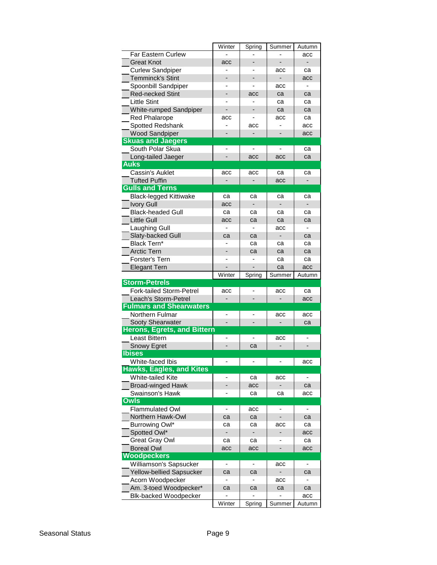|                                                     | Winter                   | Spring                       | Summer                   | Autumn                   |
|-----------------------------------------------------|--------------------------|------------------------------|--------------------------|--------------------------|
| <b>Far Eastern Curlew</b>                           |                          |                              |                          | acc                      |
| <b>Great Knot</b>                                   | acc                      |                              |                          | $\overline{\phantom{0}}$ |
| <b>Curlew Sandpiper</b>                             |                          |                              | acc                      | са                       |
| <b>Temminck's Stint</b>                             |                          |                              |                          | acc                      |
| Spoonbill Sandpiper                                 |                          |                              | acc                      |                          |
| <b>Red-necked Stint</b>                             | -                        | acc                          | ca                       | ca                       |
| <b>Little Stint</b>                                 |                          |                              | ca                       | ca                       |
| White-rumped Sandpiper                              |                          |                              | ca                       | ca                       |
| <b>Red Phalarope</b>                                | acc                      |                              | acc                      | ca                       |
| Spotted Redshank                                    |                          | acc                          |                          | acc                      |
| <b>Wood Sandpiper</b>                               |                          | $\overline{\phantom{a}}$     |                          | acc                      |
| <b>Skuas and Jaegers</b>                            |                          |                              |                          |                          |
| South Polar Skua                                    | ÷                        |                              |                          | ca                       |
| Long-tailed Jaeger                                  |                          | acc                          | acc                      | ca                       |
| <b>Auks</b>                                         |                          |                              |                          |                          |
| Cassin's Auklet                                     | acc                      | acc                          | ca                       | са                       |
| <b>Tufted Puffin</b>                                |                          |                              | acc                      | -                        |
| <b>Gulls and Terns</b>                              |                          |                              |                          |                          |
| <b>Black-legged Kittiwake</b>                       | ca                       | ca                           | ca                       | са                       |
| <b>Ivory Gull</b>                                   | acc                      | $\qquad \qquad \blacksquare$ | -                        |                          |
| <b>Black-headed Gull</b>                            | ca                       | ca                           | ca                       | са                       |
| <b>Little Gull</b>                                  | acc                      | ca                           | ca                       | ca                       |
| Laughing Gull                                       |                          |                              | acc                      |                          |
| Slaty-backed Gull                                   | ca                       | ca                           | ٠                        | са                       |
| Black Tern*                                         |                          | ca                           | ca                       | ca                       |
| <b>Arctic Tern</b>                                  |                          | ca                           | ca                       | ca                       |
| Forster's Tern                                      |                          |                              | ca                       | ca                       |
| <b>Elegant Tern</b>                                 | Winter                   |                              | ca<br>Summer             | acc                      |
|                                                     |                          |                              |                          | Autumn                   |
|                                                     |                          | Spring                       |                          |                          |
| <b>Storm-Petrels</b>                                |                          |                              |                          |                          |
| Fork-tailed Storm-Petrel                            | acc                      |                              | acc                      | ca                       |
| Leach's Storm-Petrel                                |                          |                              |                          | acc                      |
| <b>Fulmars and Shearwaters</b>                      |                          |                              | acc                      | acc                      |
| Northern Fulmar                                     | $\overline{\phantom{0}}$ |                              | -                        | са                       |
| Sooty Shearwater                                    |                          |                              |                          |                          |
| <b>Herons, Egrets, and Bittern</b><br>Least Bittern |                          |                              | acc                      |                          |
|                                                     |                          | ca                           |                          |                          |
| Snowy Egret<br><b>Ibises</b>                        |                          |                              |                          |                          |
|                                                     |                          |                              |                          | acc                      |
| White-faced Ibis<br><b>Hawks, Eagles, and Kites</b> |                          |                              |                          |                          |
| <b>White-tailed Kite</b>                            |                          | ca                           | acc                      |                          |
| <b>Broad-winged Hawk</b>                            |                          | acc                          | ۰                        | са                       |
| Swainson's Hawk                                     |                          | ca                           | са                       | acc                      |
| <b>Owls</b>                                         |                          |                              |                          |                          |
| <b>Flammulated Owl</b>                              | $\overline{\phantom{0}}$ | acc                          | $\overline{\phantom{0}}$ | -                        |
| Northern Hawk-Owl                                   | ca                       | ca                           | -                        | са                       |
| Burrowing Owl*                                      | са                       | ca                           | acc                      | са                       |
| Spotted Owl*                                        |                          |                              |                          | acc                      |
| <b>Great Gray Owl</b>                               | са                       | ca                           |                          | са                       |
| <b>Boreal Owl</b>                                   | acc                      | acc                          |                          | acc                      |
| Woodpeckers                                         |                          |                              |                          |                          |
| Williamson's Sapsucker                              |                          |                              | acc                      |                          |
| Yellow-bellied Sapsucker                            | ca                       | ca                           |                          | са                       |
| Acorn Woodpecker                                    |                          |                              | acc                      |                          |
| Am. 3-toed Woodpecker*                              | ca                       | ca                           | ca                       | са                       |
| <b>Blk-backed Woodpecker</b>                        | Winter                   | Spring                       | Summer                   | acc                      |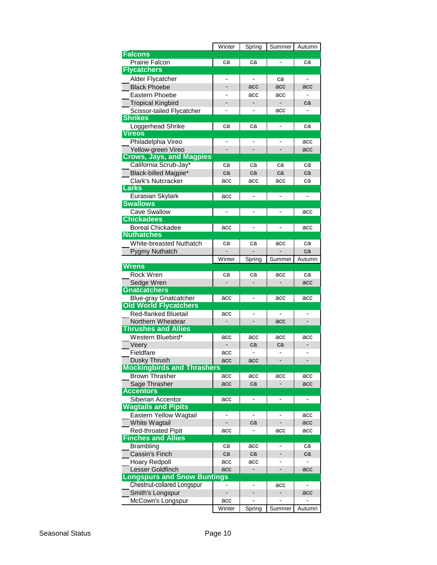|                                   | Winter                   | Spring                       | Summer                       | Autumn |
|-----------------------------------|--------------------------|------------------------------|------------------------------|--------|
| <b>Falcons</b>                    |                          |                              |                              |        |
| Prairie Falcon                    | ca                       | ca                           |                              | ca     |
| <b>Flycatchers</b>                |                          |                              |                              |        |
| Alder Flycatcher                  |                          | ÷,                           | ca                           | ä,     |
| <b>Black Phoebe</b>               |                          | acc                          | acc                          | acc    |
| Eastern Phoebe                    |                          | acc                          | acc                          |        |
| <b>Tropical Kingbird</b>          |                          |                              |                              | ca     |
| Scissor-tailed Flycatcher         |                          |                              | acc                          |        |
| <b>Shrikes</b>                    |                          |                              |                              |        |
| Loggerhead Shrike                 | ca                       | ca                           | $\qquad \qquad \blacksquare$ | ca     |
| <b>Vireos</b>                     |                          |                              |                              |        |
| Philadelphia Vireo                |                          |                              |                              | acc    |
| Yellow-green Vireo                |                          |                              |                              | acc    |
| <b>Crows, Jays, and Magpies</b>   |                          |                              |                              |        |
| California Scrub-Jay*             | ca                       | ca                           | ca                           | ca     |
| Black-billed Magpie*              | ca                       | ca                           | ca                           | ca     |
| <b>Clark's Nutcracker</b>         | acc                      | acc                          | acc                          | ca     |
| <b>Larks</b>                      |                          |                              |                              |        |
| Eurasian Skylark                  | acc                      |                              |                              |        |
| <b>Swallows</b>                   |                          |                              |                              |        |
| <b>Cave Swallow</b>               |                          |                              |                              | acc    |
| <b>Chickadees</b>                 |                          |                              |                              |        |
| <b>Boreal Chickadee</b>           | acc                      | -                            |                              | acc    |
| <b>Nuthatches</b>                 |                          |                              |                              |        |
| <b>White-breasted Nuthatch</b>    | ca                       | са                           | acc                          | са     |
| Pygmy Nuthatch                    |                          |                              |                              | ca     |
|                                   | Winter                   | Spring                       | Summer                       | Autumn |
| <b>Wrens</b>                      |                          |                              |                              |        |
| Rock Wren                         | ca                       | ca                           | acc                          | ca     |
| Sedge Wren                        |                          |                              |                              | acc    |
| <b>Gnatcatchers</b>               |                          |                              |                              |        |
| <b>Blue-gray Gnatcatcher</b>      | acc                      |                              | acc                          | acc    |
| <b>Old World Flycatchers</b>      |                          |                              |                              |        |
| <b>Red-flanked Bluetail</b>       | acc                      | ٠                            |                              |        |
| Northern Wheatear                 | -                        |                              | acc                          |        |
| <b>Thrushes and Allies</b>        |                          |                              |                              |        |
| Western Bluebird*                 | acc                      | acc                          | acc                          | acc    |
| Veery                             |                          | ca                           | ca                           |        |
| Fieldfare                         | acc                      |                              |                              |        |
| Dusky Thrush                      | acc                      | acc                          |                              |        |
| <b>Mockingbirds and Thrashers</b> |                          |                              |                              |        |
| <b>Brown Thrasher</b>             | acc                      | acc                          | acc                          | acc    |
| Sage Thrasher                     | acc                      | ca                           |                              | acc    |
| <b>Accentors</b>                  |                          |                              |                              |        |
| Siberian Accentor                 | acc                      | ۰                            | -                            | -      |
| <b>Wagtails and Pipits</b>        |                          |                              |                              |        |
| Eastern Yellow Wagtail            | -                        | $\qquad \qquad \blacksquare$ |                              | acc    |
| White Wagtail                     |                          | ca                           |                              | acc    |
| Red-throated Pipit                | acc                      |                              | acc                          | acc    |
| <b>Finches and Allies</b>         |                          |                              |                              |        |
| <b>Brambling</b>                  | са                       | acc                          |                              | ca     |
| Cassin's Finch                    | ca                       | ca                           |                              | ca     |
| <b>Hoary Redpoll</b>              | acc                      | acc                          |                              |        |
| Lesser Goldfinch                  | acc                      |                              |                              | acc    |
| ongspurs and Snow Buntings        |                          |                              |                              |        |
| Chestnut-collared Longspur        | $\overline{\phantom{0}}$ | ٠                            | acc                          |        |
| Smith's Longspur                  | $\overline{\phantom{0}}$ |                              | $\qquad \qquad \blacksquare$ | acc    |
| McCown's Longspur                 | acc                      |                              |                              |        |
|                                   |                          | Spring                       | Summer                       | Autumn |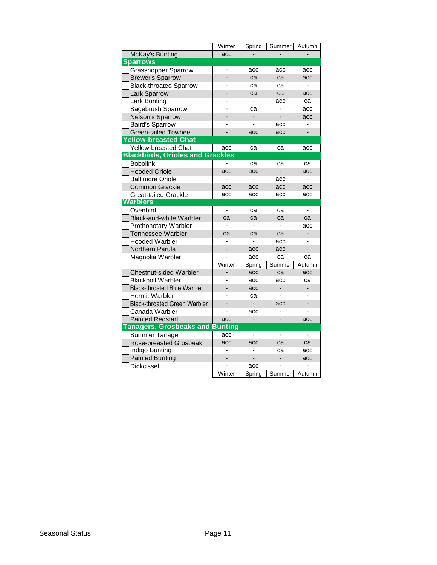|                                         | Winter | Spring | Summer                       | Autumn |
|-----------------------------------------|--------|--------|------------------------------|--------|
| McKay's Bunting                         | acc    |        |                              |        |
| <b>Sparrows</b>                         |        |        |                              |        |
| <b>Grasshopper Sparrow</b>              |        | acc    | acc                          | acc    |
| <b>Brewer's Sparrow</b>                 |        | ca     | ca                           | acc    |
| <b>Black-throated Sparrow</b>           |        | ca     | ca                           |        |
| <b>Lark Sparrow</b>                     |        | ca     | ca                           | acc    |
| Lark Bunting                            |        |        | acc                          | ca     |
| Sagebrush Sparrow                       |        | ca     |                              | acc    |
| Nelson's Sparrow                        |        |        | $\overline{a}$               | acc    |
| <b>Baird's Sparrow</b>                  |        |        | acc                          |        |
| <b>Green-tailed Towhee</b>              |        | acc    | acc                          |        |
| <b>Yellow-breasted Chat</b>             |        |        |                              |        |
| Yellow-breasted Chat                    | acc    | ca     | ca                           | acc    |
| <b>Blackbirds, Orioles and Grackles</b> |        |        |                              |        |
| <b>Bobolink</b>                         |        | ca     | ca                           | ca     |
| <b>Hooded Oriole</b>                    | acc    | acc    |                              | acc    |
| <b>Baltimore Oriole</b>                 |        |        | acc                          |        |
| Common Grackle                          | acc    | acc    | acc                          | acc    |
| <b>Great-tailed Grackle</b>             | acc    | acc    | acc                          | acc    |
| <b>Warblers</b>                         |        |        |                              |        |
| Ovenbird                                | ä,     | ca     | ca                           | ä,     |
| <b>Black-and-white Warbler</b>          | ca     | ca     | ca                           | ca     |
| Prothonotary Warbler                    |        |        |                              | acc    |
| <b>Tennessee Warbler</b>                | ca     | ca     | ca                           |        |
| <b>Hooded Warbler</b>                   |        |        | acc                          |        |
| Northern Parula                         |        | acc    | acc                          |        |
| Magnolia Warbler                        |        | acc    | ca                           | ca     |
|                                         | Winter | Spring | Summer                       | Autumn |
| <b>Chestnut-sided Warbler</b>           |        | acc    | ca                           | acc    |
| <b>Blackpoll Warbler</b>                |        | acc    | acc                          | ca     |
| <b>Black-throated Blue Warbler</b>      |        | acc    |                              |        |
| <b>Hermit Warbler</b>                   |        | ca     |                              |        |
| <b>Black-throated Green Warbler</b>     |        |        | acc                          |        |
| Canada Warbler                          |        | acc    |                              |        |
| <b>Painted Redstart</b>                 | acc    |        |                              | acc    |
| <b>Tanagers, Grosbeaks and Bunting</b>  |        |        |                              |        |
| Summer Tanager                          | acc    |        | $\overline{\phantom{0}}$     |        |
| <b>Rose-breasted Grosbeak</b>           | acc    | acc    | ca                           | ca     |
| Indigo Bunting                          |        |        | cа                           | acc    |
| <b>Painted Bunting</b>                  |        |        | $\qquad \qquad \blacksquare$ | acc    |
| Dickcissel                              |        | acc    |                              |        |
|                                         | Winter | Spring | Summer                       | Autumn |